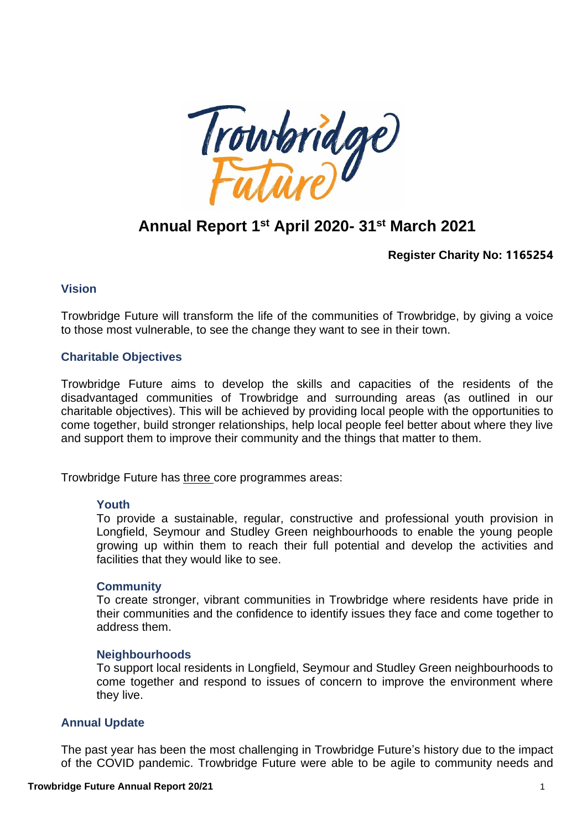

# **Annual Report 1 st April 2020- 31 st March 2021**

**Register Charity No: 1165254**

### **Vision**

Trowbridge Future will transform the life of the communities of Trowbridge, by giving a voice to those most vulnerable, to see the change they want to see in their town.

#### **Charitable Objectives**

Trowbridge Future aims to develop the skills and capacities of the residents of the disadvantaged communities of Trowbridge and surrounding areas (as outlined in our charitable objectives). This will be achieved by providing local people with the opportunities to come together, build stronger relationships, help local people feel better about where they live and support them to improve their community and the things that matter to them.

Trowbridge Future has three core programmes areas:

#### **Youth**

To provide a sustainable, regular, constructive and professional youth provision in Longfield, Seymour and Studley Green neighbourhoods to enable the young people growing up within them to reach their full potential and develop the activities and facilities that they would like to see.

#### **Community**

To create stronger, vibrant communities in Trowbridge where residents have pride in their communities and the confidence to identify issues they face and come together to address them.

#### **Neighbourhoods**

To support local residents in Longfield, Seymour and Studley Green neighbourhoods to come together and respond to issues of concern to improve the environment where they live.

#### **Annual Update**

The past year has been the most challenging in Trowbridge Future's history due to the impact of the COVID pandemic. Trowbridge Future were able to be agile to community needs and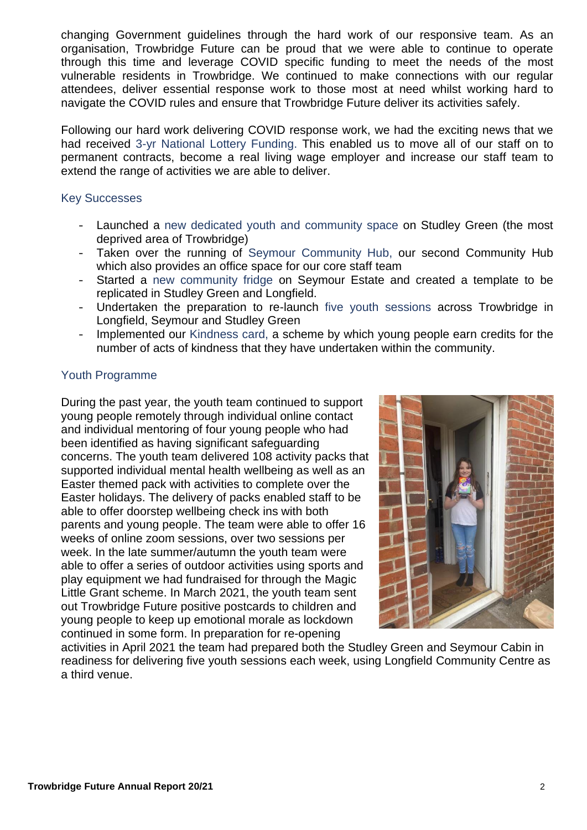changing Government guidelines through the hard work of our responsive team. As an organisation, Trowbridge Future can be proud that we were able to continue to operate through this time and leverage COVID specific funding to meet the needs of the most vulnerable residents in Trowbridge. We continued to make connections with our regular attendees, deliver essential response work to those most at need whilst working hard to navigate the COVID rules and ensure that Trowbridge Future deliver its activities safely.

Following our hard work delivering COVID response work, we had the exciting news that we had received 3-yr National Lottery Funding. This enabled us to move all of our staff on to permanent contracts, become a real living wage employer and increase our staff team to extend the range of activities we are able to deliver.

## Key Successes

- Launched a new dedicated youth and community space on Studley Green (the most deprived area of Trowbridge)
- Taken over the running of Seymour Community Hub, our second Community Hub which also provides an office space for our core staff team
- Started a new community fridge on Seymour Estate and created a template to be replicated in Studley Green and Longfield.
- Undertaken the preparation to re-launch five youth sessions across Trowbridge in Longfield, Seymour and Studley Green
- Implemented our Kindness card, a scheme by which young people earn credits for the number of acts of kindness that they have undertaken within the community.

## Youth Programme

During the past year, the youth team continued to support young people remotely through individual online contact and individual mentoring of four young people who had been identified as having significant safeguarding concerns. The youth team delivered 108 activity packs that supported individual mental health wellbeing as well as an Easter themed pack with activities to complete over the Easter holidays. The delivery of packs enabled staff to be able to offer doorstep wellbeing check ins with both parents and young people. The team were able to offer 16 weeks of online zoom sessions, over two sessions per week. In the late summer/autumn the youth team were able to offer a series of outdoor activities using sports and play equipment we had fundraised for through the Magic Little Grant scheme. In March 2021, the youth team sent out Trowbridge Future positive postcards to children and young people to keep up emotional morale as lockdown continued in some form. In preparation for re-opening



activities in April 2021 the team had prepared both the Studley Green and Seymour Cabin in readiness for delivering five youth sessions each week, using Longfield Community Centre as a third venue.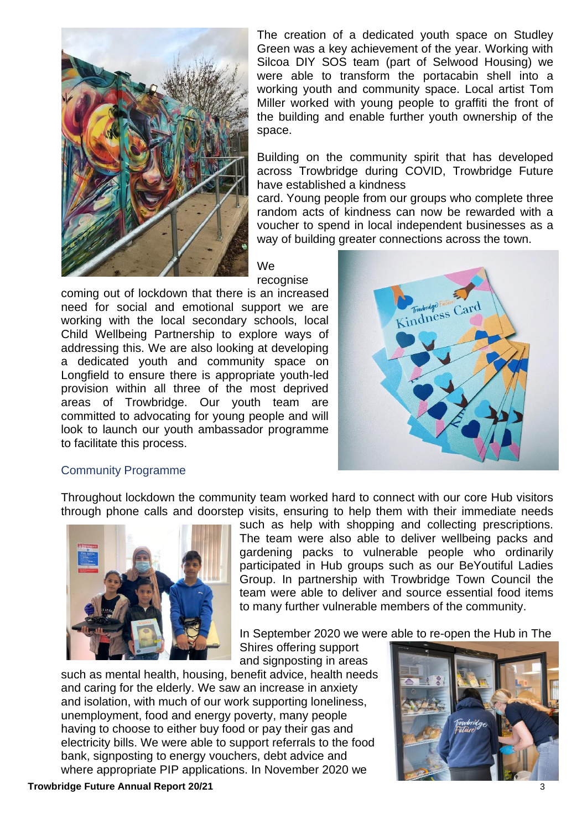

The creation of a dedicated youth space on Studley Green was a key achievement of the year. Working with Silcoa DIY SOS team (part of Selwood Housing) we were able to transform the portacabin shell into a working youth and community space. Local artist Tom Miller worked with young people to graffiti the front of the building and enable further youth ownership of the space.

Building on the community spirit that has developed across Trowbridge during COVID, Trowbridge Future have established a kindness

card. Young people from our groups who complete three random acts of kindness can now be rewarded with a voucher to spend in local independent businesses as a way of building greater connections across the town.

## We

recognise

coming out of lockdown that there is an increased need for social and emotional support we are working with the local secondary schools, local Child Wellbeing Partnership to explore ways of addressing this. We are also looking at developing a dedicated youth and community space on Longfield to ensure there is appropriate youth-led provision within all three of the most deprived areas of Trowbridge. Our youth team are committed to advocating for young people and will look to launch our youth ambassador programme to facilitate this process.



#### Community Programme

Throughout lockdown the community team worked hard to connect with our core Hub visitors through phone calls and doorstep visits, ensuring to help them with their immediate needs



such as help with shopping and collecting prescriptions. The team were also able to deliver wellbeing packs and gardening packs to vulnerable people who ordinarily participated in Hub groups such as our BeYoutiful Ladies Group. In partnership with Trowbridge Town Council the team were able to deliver and source essential food items to many further vulnerable members of the community.

In September 2020 we were able to re-open the Hub in The

Shires offering support and signposting in areas

such as mental health, housing, benefit advice, health needs and caring for the elderly. We saw an increase in anxiety and isolation, with much of our work supporting loneliness, unemployment, food and energy poverty, many people having to choose to either buy food or pay their gas and electricity bills. We were able to support referrals to the food bank, signposting to energy vouchers, debt advice and where appropriate PIP applications. In November 2020 we

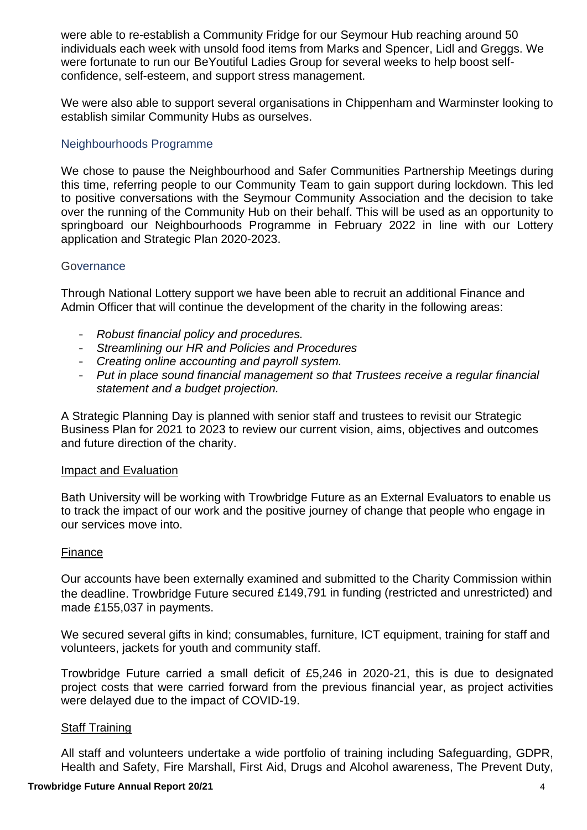were able to re-establish a Community Fridge for our Seymour Hub reaching around 50 individuals each week with unsold food items from Marks and Spencer, Lidl and Greggs. We were fortunate to run our BeYoutiful Ladies Group for several weeks to help boost selfconfidence, self-esteem, and support stress management.

We were also able to support several organisations in Chippenham and Warminster looking to establish similar Community Hubs as ourselves.

## Neighbourhoods Programme

We chose to pause the Neighbourhood and Safer Communities Partnership Meetings during this time, referring people to our Community Team to gain support during lockdown. This led to positive conversations with the Seymour Community Association and the decision to take over the running of the Community Hub on their behalf. This will be used as an opportunity to springboard our Neighbourhoods Programme in February 2022 in line with our Lottery application and Strategic Plan 2020-2023.

### **Governance**

Through National Lottery support we have been able to recruit an additional Finance and Admin Officer that will continue the development of the charity in the following areas:

- *Robust financial policy and procedures.*
- *Streamlining our HR and Policies and Procedures*
- *Creating online accounting and payroll system.*
- *Put in place sound financial management so that Trustees receive a regular financial statement and a budget projection.*

A Strategic Planning Day is planned with senior staff and trustees to revisit our Strategic Business Plan for 2021 to 2023 to review our current vision, aims, objectives and outcomes and future direction of the charity.

#### Impact and Evaluation

Bath University will be working with Trowbridge Future as an External Evaluators to enable us to track the impact of our work and the positive journey of change that people who engage in our services move into.

#### Finance

Our accounts have been externally examined and submitted to the Charity Commission within the deadline. Trowbridge Future secured £149,791 in funding (restricted and unrestricted) and made £155,037 in payments.

We secured several gifts in kind; consumables, furniture, ICT equipment, training for staff and volunteers, jackets for youth and community staff.

Trowbridge Future carried a small deficit of £5,246 in 2020-21, this is due to designated project costs that were carried forward from the previous financial year, as project activities were delayed due to the impact of COVID-19.

#### Staff Training

All staff and volunteers undertake a wide portfolio of training including Safeguarding, GDPR, Health and Safety, Fire Marshall, First Aid, Drugs and Alcohol awareness, The Prevent Duty,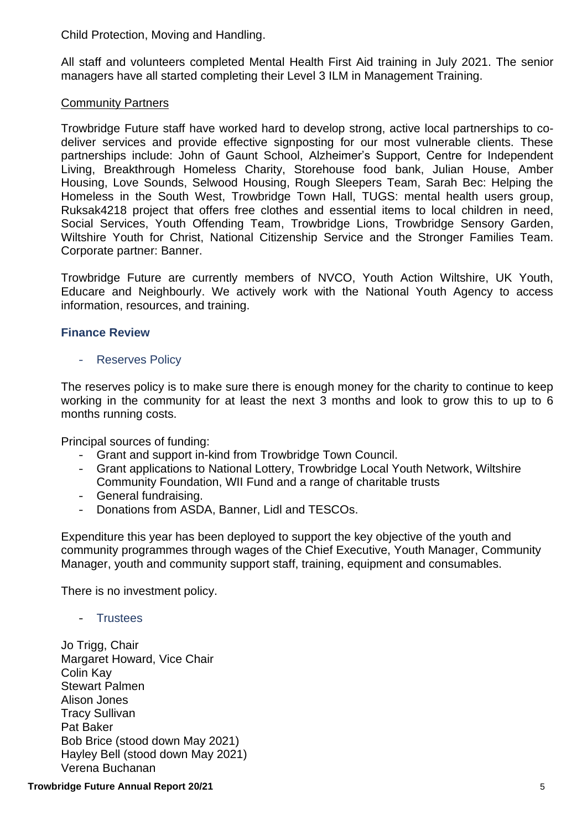Child Protection, Moving and Handling.

All staff and volunteers completed Mental Health First Aid training in July 2021. The senior managers have all started completing their Level 3 ILM in Management Training.

## Community Partners

Trowbridge Future staff have worked hard to develop strong, active local partnerships to codeliver services and provide effective signposting for our most vulnerable clients. These partnerships include: John of Gaunt School, Alzheimer's Support, Centre for Independent Living, Breakthrough Homeless Charity, Storehouse food bank, Julian House, Amber Housing, Love Sounds, Selwood Housing, Rough Sleepers Team, Sarah Bec: Helping the Homeless in the South West, Trowbridge Town Hall, TUGS: mental health users group, Ruksak4218 project that offers free clothes and essential items to local children in need, Social Services, Youth Offending Team, Trowbridge Lions, Trowbridge Sensory Garden, Wiltshire Youth for Christ, National Citizenship Service and the Stronger Families Team. Corporate partner: Banner.

Trowbridge Future are currently members of NVCO, Youth Action Wiltshire, UK Youth, Educare and Neighbourly. We actively work with the National Youth Agency to access information, resources, and training.

## **Finance Review**

### - Reserves Policy

The reserves policy is to make sure there is enough money for the charity to continue to keep working in the community for at least the next 3 months and look to grow this to up to 6 months running costs.

Principal sources of funding:

- Grant and support in-kind from Trowbridge Town Council.
- Grant applications to National Lottery, Trowbridge Local Youth Network, Wiltshire Community Foundation, WII Fund and a range of charitable trusts
- General fundraising.
- Donations from ASDA, Banner, Lidl and TESCOs.

Expenditure this year has been deployed to support the key objective of the youth and community programmes through wages of the Chief Executive, Youth Manager, Community Manager, youth and community support staff, training, equipment and consumables.

There is no investment policy.

- Trustees

Jo Trigg, Chair Margaret Howard, Vice Chair Colin Kay Stewart Palmen Alison Jones Tracy Sullivan Pat Baker Bob Brice (stood down May 2021) Hayley Bell (stood down May 2021) Verena Buchanan

**Trowbridge Future Annual Report 20/21** 5